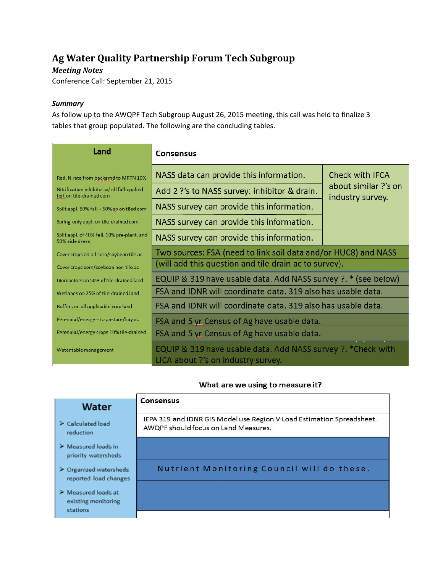# **Ag Water Quality Partnership Forum Tech Subgroup**

## *Meeting Notes*

Conference Call: September 21, 2015

#### *Summary*

As follow up to the AWQPF Tech Subgroup August 26, 2015 meeting, this call was held to finalize 3 tables that group populated. The following are the concluding tables.

| Land                                                                     | <b>Consensus</b>                                                                                    |                                          |
|--------------------------------------------------------------------------|-----------------------------------------------------------------------------------------------------|------------------------------------------|
| Red. N rate from backgrnd to MRTN 10%                                    | NASS data can provide this information.                                                             | Check with IFCA                          |
| Nitrification inhibitor w/ all fall-applied<br>fert on tile-drained corn | Add 2 ?'s to NASS survey: inhibitor & drain.                                                        | about similar ?'s on<br>industry survey. |
| Split appl. 50% fall + 50% sp on tiled corn                              | NASS survey can provide this information.                                                           |                                          |
| Spring-only appl. on tile-drained corn                                   | NASS survey can provide this information.                                                           |                                          |
| Split appl. of 40% fall, 10% pre-plant, and<br>50% side dress            | NASS survey can provide this information.                                                           |                                          |
| Cover crops on all corn/soybean tile ac                                  | Two sources: FSA (need to link soil data and/or HUC8) and NASS                                      |                                          |
| Cover crops corn/soybean non-tile ac                                     | (will add this question and tile drain ac to survey).                                               |                                          |
| Bioreactors on 50% of tile-drained land                                  | EQUIP & 319 have usable data. Add NASS survey ?. * (see below)                                      |                                          |
| Wetlands on 25% of tile-drained land                                     | FSA and IDNR will coordinate data, 319 also has usable data.                                        |                                          |
| Buffers on all applicable crop land                                      | FSA and IDNR will coordinate data. 319 also has usable data.                                        |                                          |
| Perennial/energy = to pasture/hay ac                                     | FSA and 5 yr Census of Ag have usable data.                                                         |                                          |
| Perennial/energy crops 10% tile-drained                                  | FSA and 5 yr Census of Ag have usable data.                                                         |                                          |
| Water table management                                                   | EQUIP & 319 have usable data. Add NASS survey ?. * Check with<br>LICA about ?'s on industry survey. |                                          |

### What are we using to measure it?

|                                                                       | <b>Consensus</b>                                                                                              |
|-----------------------------------------------------------------------|---------------------------------------------------------------------------------------------------------------|
| <b>Water</b>                                                          |                                                                                                               |
| $\triangleright$ Calculated load<br>reduction                         | IEPA 319 and IDNR GIS Model use Region V Load Estimation Spreadsheet.<br>AWQPF should focus on Land Measures. |
| $\triangleright$ Measured loads in<br>priority watersheds             |                                                                                                               |
| $\geq$ Organized watersheds<br>reported load changes                  | Nutrient Monitoring Council will do these.                                                                    |
| $\triangleright$ Measured loads at<br>existing monitoring<br>stations |                                                                                                               |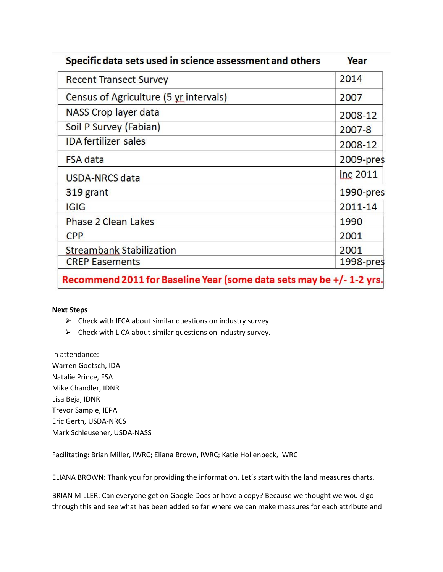| Specific data sets used in science assessment and others | Year         |
|----------------------------------------------------------|--------------|
| <b>Recent Transect Survey</b>                            | 2014         |
| Census of Agriculture (5 yr intervals)                   | 2007         |
| NASS Crop layer data                                     | 2008-12      |
| Soil P Survey (Fabian)                                   | 2007-8       |
| <b>IDA</b> fertilizer sales                              | 2008-12      |
| <b>FSA</b> data                                          | 2009-pres    |
| USDA-NRCS data                                           | inc 2011     |
| 319 grant                                                | $1990$ -pres |
| <b>IGIG</b>                                              | 2011-14      |
| <b>Phase 2 Clean Lakes</b>                               | 1990         |
| <b>CPP</b>                                               | 2001         |
| <b>Streambank Stabilization</b>                          | 2001         |
| <b>CREP Easements</b>                                    | 1998-pres    |

Recommend 2011 for Baseline Year (some data sets may be +/- 1-2 yrs.

#### **Next Steps**

- $\triangleright$  Check with IFCA about similar questions on industry survey.
- $\triangleright$  Check with LICA about similar questions on industry survey.

In attendance: Warren Goetsch, IDA Natalie Prince, FSA Mike Chandler, IDNR Lisa Beja, IDNR Trevor Sample, IEPA Eric Gerth, USDA-NRCS Mark Schleusener, USDA-NASS

Facilitating: Brian Miller, IWRC; Eliana Brown, IWRC; Katie Hollenbeck, IWRC

ELIANA BROWN: Thank you for providing the information. Let's start with the land measures charts.

BRIAN MILLER: Can everyone get on Google Docs or have a copy? Because we thought we would go through this and see what has been added so far where we can make measures for each attribute and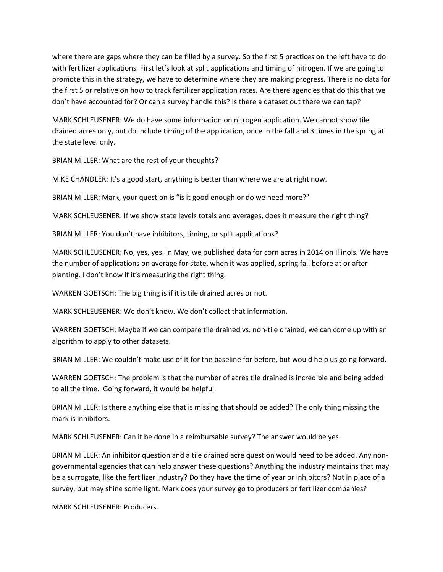where there are gaps where they can be filled by a survey. So the first 5 practices on the left have to do with fertilizer applications. First let's look at split applications and timing of nitrogen. If we are going to promote this in the strategy, we have to determine where they are making progress. There is no data for the first 5 or relative on how to track fertilizer application rates. Are there agencies that do this that we don't have accounted for? Or can a survey handle this? Is there a dataset out there we can tap?

MARK SCHLEUSENER: We do have some information on nitrogen application. We cannot show tile drained acres only, but do include timing of the application, once in the fall and 3 times in the spring at the state level only.

BRIAN MILLER: What are the rest of your thoughts?

MIKE CHANDLER: It's a good start, anything is better than where we are at right now.

BRIAN MILLER: Mark, your question is "is it good enough or do we need more?"

MARK SCHLEUSENER: If we show state levels totals and averages, does it measure the right thing?

BRIAN MILLER: You don't have inhibitors, timing, or split applications?

MARK SCHLEUSENER: No, yes, yes. In May, we published data for corn acres in 2014 on Illinois. We have the number of applications on average for state, when it was applied, spring fall before at or after planting. I don't know if it's measuring the right thing.

WARREN GOETSCH: The big thing is if it is tile drained acres or not.

MARK SCHLEUSENER: We don't know. We don't collect that information.

WARREN GOETSCH: Maybe if we can compare tile drained vs. non-tile drained, we can come up with an algorithm to apply to other datasets.

BRIAN MILLER: We couldn't make use of it for the baseline for before, but would help us going forward.

WARREN GOETSCH: The problem is that the number of acres tile drained is incredible and being added to all the time. Going forward, it would be helpful.

BRIAN MILLER: Is there anything else that is missing that should be added? The only thing missing the mark is inhibitors.

MARK SCHLEUSENER: Can it be done in a reimbursable survey? The answer would be yes.

BRIAN MILLER: An inhibitor question and a tile drained acre question would need to be added. Any nongovernmental agencies that can help answer these questions? Anything the industry maintains that may be a surrogate, like the fertilizer industry? Do they have the time of year or inhibitors? Not in place of a survey, but may shine some light. Mark does your survey go to producers or fertilizer companies?

MARK SCHLEUSENER: Producers.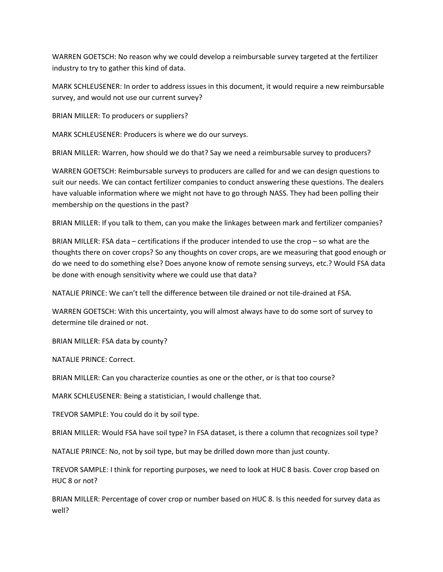WARREN GOETSCH: No reason why we could develop a reimbursable survey targeted at the fertilizer industry to try to gather this kind of data.

MARK SCHLEUSENER: In order to address issues in this document, it would require a new reimbursable survey, and would not use our current survey?

BRIAN MILLER: To producers or suppliers?

MARK SCHLEUSENER: Producers is where we do our surveys.

BRIAN MILLER: Warren, how should we do that? Say we need a reimbursable survey to producers?

WARREN GOETSCH: Reimbursable surveys to producers are called for and we can design questions to suit our needs. We can contact fertilizer companies to conduct answering these questions. The dealers have valuable information where we might not have to go through NASS. They had been polling their membership on the questions in the past?

BRIAN MILLER: If you talk to them, can you make the linkages between mark and fertilizer companies?

BRIAN MILLER: FSA data – certifications if the producer intended to use the crop – so what are the thoughts there on cover crops? So any thoughts on cover crops, are we measuring that good enough or do we need to do something else? Does anyone know of remote sensing surveys, etc.? Would FSA data be done with enough sensitivity where we could use that data?

NATALIE PRINCE: We can't tell the difference between tile drained or not tile-drained at FSA.

WARREN GOETSCH: With this uncertainty, you will almost always have to do some sort of survey to determine tile drained or not.

BRIAN MILLER: FSA data by county?

NATALIE PRINCE: Correct.

BRIAN MILLER: Can you characterize counties as one or the other, or is that too course?

MARK SCHLEUSENER: Being a statistician, I would challenge that.

TREVOR SAMPLE: You could do it by soil type.

BRIAN MILLER: Would FSA have soil type? In FSA dataset, is there a column that recognizes soil type?

NATALIE PRINCE: No, not by soil type, but may be drilled down more than just county.

TREVOR SAMPLE: I think for reporting purposes, we need to look at HUC 8 basis. Cover crop based on HUC 8 or not?

BRIAN MILLER: Percentage of cover crop or number based on HUC 8. Is this needed for survey data as well?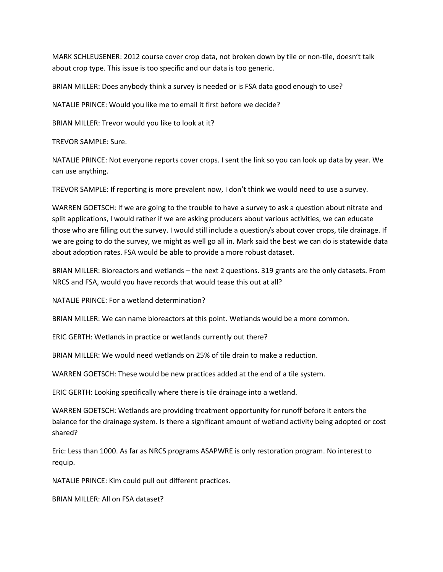MARK SCHLEUSENER: 2012 course cover crop data, not broken down by tile or non-tile, doesn't talk about crop type. This issue is too specific and our data is too generic.

BRIAN MILLER: Does anybody think a survey is needed or is FSA data good enough to use?

NATALIE PRINCE: Would you like me to email it first before we decide?

BRIAN MILLER: Trevor would you like to look at it?

TREVOR SAMPLE: Sure.

NATALIE PRINCE: Not everyone reports cover crops. I sent the link so you can look up data by year. We can use anything.

TREVOR SAMPLE: If reporting is more prevalent now, I don't think we would need to use a survey.

WARREN GOETSCH: If we are going to the trouble to have a survey to ask a question about nitrate and split applications, I would rather if we are asking producers about various activities, we can educate those who are filling out the survey. I would still include a question/s about cover crops, tile drainage. If we are going to do the survey, we might as well go all in. Mark said the best we can do is statewide data about adoption rates. FSA would be able to provide a more robust dataset.

BRIAN MILLER: Bioreactors and wetlands – the next 2 questions. 319 grants are the only datasets. From NRCS and FSA, would you have records that would tease this out at all?

NATALIE PRINCE: For a wetland determination?

BRIAN MILLER: We can name bioreactors at this point. Wetlands would be a more common.

ERIC GERTH: Wetlands in practice or wetlands currently out there?

BRIAN MILLER: We would need wetlands on 25% of tile drain to make a reduction.

WARREN GOETSCH: These would be new practices added at the end of a tile system.

ERIC GERTH: Looking specifically where there is tile drainage into a wetland.

WARREN GOETSCH: Wetlands are providing treatment opportunity for runoff before it enters the balance for the drainage system. Is there a significant amount of wetland activity being adopted or cost shared?

Eric: Less than 1000. As far as NRCS programs ASAPWRE is only restoration program. No interest to requip.

NATALIE PRINCE: Kim could pull out different practices.

BRIAN MILLER: All on FSA dataset?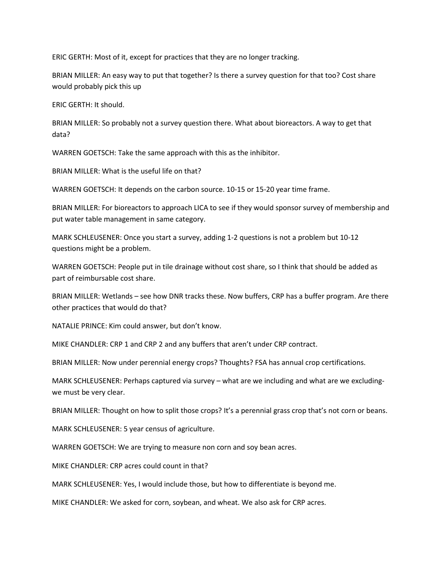ERIC GERTH: Most of it, except for practices that they are no longer tracking.

BRIAN MILLER: An easy way to put that together? Is there a survey question for that too? Cost share would probably pick this up

ERIC GERTH: It should.

BRIAN MILLER: So probably not a survey question there. What about bioreactors. A way to get that data?

WARREN GOETSCH: Take the same approach with this as the inhibitor.

BRIAN MILLER: What is the useful life on that?

WARREN GOETSCH: It depends on the carbon source. 10-15 or 15-20 year time frame.

BRIAN MILLER: For bioreactors to approach LICA to see if they would sponsor survey of membership and put water table management in same category.

MARK SCHLEUSENER: Once you start a survey, adding 1-2 questions is not a problem but 10-12 questions might be a problem.

WARREN GOETSCH: People put in tile drainage without cost share, so I think that should be added as part of reimbursable cost share.

BRIAN MILLER: Wetlands – see how DNR tracks these. Now buffers, CRP has a buffer program. Are there other practices that would do that?

NATALIE PRINCE: Kim could answer, but don't know.

MIKE CHANDLER: CRP 1 and CRP 2 and any buffers that aren't under CRP contract.

BRIAN MILLER: Now under perennial energy crops? Thoughts? FSA has annual crop certifications.

MARK SCHLEUSENER: Perhaps captured via survey – what are we including and what are we excludingwe must be very clear.

BRIAN MILLER: Thought on how to split those crops? It's a perennial grass crop that's not corn or beans.

MARK SCHLEUSENER: 5 year census of agriculture.

WARREN GOETSCH: We are trying to measure non corn and soy bean acres.

MIKE CHANDLER: CRP acres could count in that?

MARK SCHLEUSENER: Yes, I would include those, but how to differentiate is beyond me.

MIKE CHANDLER: We asked for corn, soybean, and wheat. We also ask for CRP acres.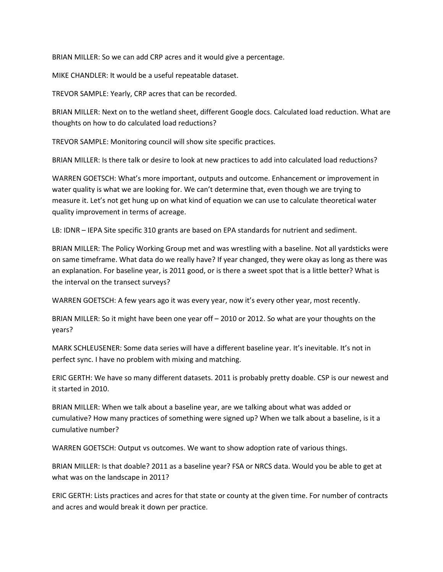BRIAN MILLER: So we can add CRP acres and it would give a percentage.

MIKE CHANDLER: It would be a useful repeatable dataset.

TREVOR SAMPLE: Yearly, CRP acres that can be recorded.

BRIAN MILLER: Next on to the wetland sheet, different Google docs. Calculated load reduction. What are thoughts on how to do calculated load reductions?

TREVOR SAMPLE: Monitoring council will show site specific practices.

BRIAN MILLER: Is there talk or desire to look at new practices to add into calculated load reductions?

WARREN GOETSCH: What's more important, outputs and outcome. Enhancement or improvement in water quality is what we are looking for. We can't determine that, even though we are trying to measure it. Let's not get hung up on what kind of equation we can use to calculate theoretical water quality improvement in terms of acreage.

LB: IDNR – IEPA Site specific 310 grants are based on EPA standards for nutrient and sediment.

BRIAN MILLER: The Policy Working Group met and was wrestling with a baseline. Not all yardsticks were on same timeframe. What data do we really have? If year changed, they were okay as long as there was an explanation. For baseline year, is 2011 good, or is there a sweet spot that is a little better? What is the interval on the transect surveys?

WARREN GOETSCH: A few years ago it was every year, now it's every other year, most recently.

BRIAN MILLER: So it might have been one year off – 2010 or 2012. So what are your thoughts on the years?

MARK SCHLEUSENER: Some data series will have a different baseline year. It's inevitable. It's not in perfect sync. I have no problem with mixing and matching.

ERIC GERTH: We have so many different datasets. 2011 is probably pretty doable. CSP is our newest and it started in 2010.

BRIAN MILLER: When we talk about a baseline year, are we talking about what was added or cumulative? How many practices of something were signed up? When we talk about a baseline, is it a cumulative number?

WARREN GOETSCH: Output vs outcomes. We want to show adoption rate of various things.

BRIAN MILLER: Is that doable? 2011 as a baseline year? FSA or NRCS data. Would you be able to get at what was on the landscape in 2011?

ERIC GERTH: Lists practices and acres for that state or county at the given time. For number of contracts and acres and would break it down per practice.